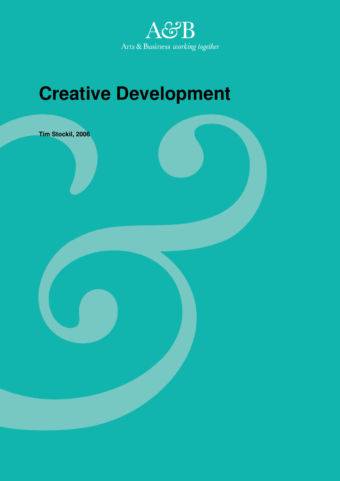

# **Creative Development**

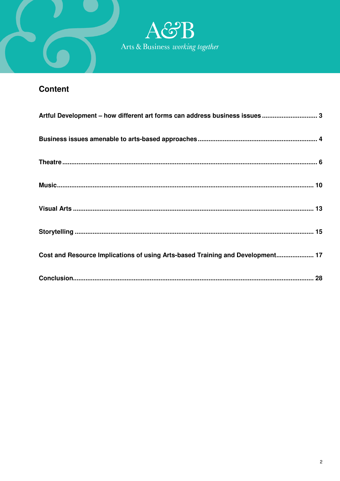

## **Content**

| Artful Development - how different art forms can address business issues  3    |
|--------------------------------------------------------------------------------|
|                                                                                |
|                                                                                |
|                                                                                |
|                                                                                |
|                                                                                |
| Cost and Resource Implications of using Arts-based Training and Development 17 |
|                                                                                |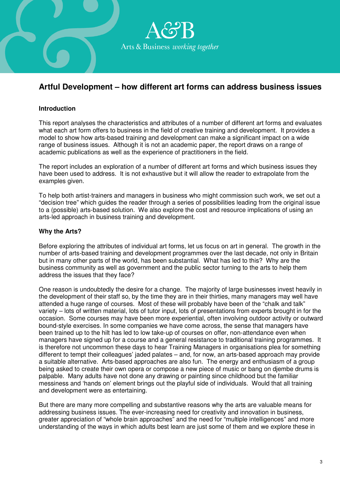

## **Artful Development – how different art forms can address business issues**

## **Introduction**

This report analyses the characteristics and attributes of a number of different art forms and evaluates what each art form offers to business in the field of creative training and development. It provides a model to show how arts-based training and development can make a significant impact on a wide range of business issues. Although it is not an academic paper, the report draws on a range of academic publications as well as the experience of practitioners in the field.

The report includes an exploration of a number of different art forms and which business issues they have been used to address. It is not exhaustive but it will allow the reader to extrapolate from the examples given.

To help both artist-trainers and managers in business who might commission such work, we set out a "decision tree" which guides the reader through a series of possibilities leading from the original issue to a (possible) arts-based solution. We also explore the cost and resource implications of using an arts-led approach in business training and development.

## **Why the Arts?**

Before exploring the attributes of individual art forms, let us focus on art in general. The growth in the number of arts-based training and development programmes over the last decade, not only in Britain but in many other parts of the world, has been substantial. What has led to this? Why are the business community as well as government and the public sector turning to the arts to help them address the issues that they face?

One reason is undoubtedly the desire for a change. The majority of large businesses invest heavily in the development of their staff so, by the time they are in their thirties, many managers may well have attended a huge range of courses. Most of these will probably have been of the "chalk and talk" variety – lots of written material, lots of tutor input, lots of presentations from experts brought in for the occasion. Some courses may have been more experiential, often involving outdoor activity or outward bound-style exercises. In some companies we have come across, the sense that managers have been trained up to the hilt has led to low take-up of courses on offer, non-attendance even when managers have signed up for a course and a general resistance to traditional training programmes. It is therefore not uncommon these days to hear Training Managers in organisations plea for something different to tempt their colleagues' jaded palates – and, for now, an arts-based approach may provide a suitable alternative. Arts-based approaches are also fun. The energy and enthusiasm of a group being asked to create their own opera or compose a new piece of music or bang on djembe drums is palpable. Many adults have not done any drawing or painting since childhood but the familiar messiness and 'hands on' element brings out the playful side of individuals. Would that all training and development were as entertaining.

But there are many more compelling and substantive reasons why the arts are valuable means for addressing business issues. The ever-increasing need for creativity and innovation in business, greater appreciation of "whole brain approaches" and the need for "multiple intelligences" and more understanding of the ways in which adults best learn are just some of them and we explore these in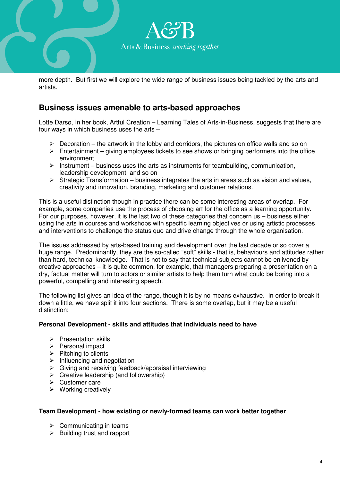

more depth. But first we will explore the wide range of business issues being tackled by the arts and artists.

## **Business issues amenable to arts-based approaches**

Lotte Darsø, in her book, Artful Creation – Learning Tales of Arts-in-Business, suggests that there are four ways in which business uses the arts –

- $\triangleright$  Decoration the artwork in the lobby and corridors, the pictures on office walls and so on
- $\triangleright$  Entertainment giving employees tickets to see shows or bringing performers into the office environment
- $\triangleright$  Instrument business uses the arts as instruments for teambuilding, communication, leadership development and so on
- $\triangleright$  Strategic Transformation business integrates the arts in areas such as vision and values, creativity and innovation, branding, marketing and customer relations.

This is a useful distinction though in practice there can be some interesting areas of overlap. For example, some companies use the process of choosing art for the office as a learning opportunity. For our purposes, however, it is the last two of these categories that concern us – business either using the arts in courses and workshops with specific learning objectives or using artistic processes and interventions to challenge the status quo and drive change through the whole organisation.

The issues addressed by arts-based training and development over the last decade or so cover a huge range. Predominantly, they are the so-called "soft" skills - that is, behaviours and attitudes rather than hard, technical knowledge. That is not to say that technical subjects cannot be enlivened by creative approaches – it is quite common, for example, that managers preparing a presentation on a dry, factual matter will turn to actors or similar artists to help them turn what could be boring into a powerful, compelling and interesting speech.

The following list gives an idea of the range, though it is by no means exhaustive. In order to break it down a little, we have split it into four sections. There is some overlap, but it may be a useful distinction:

## **Personal Development - skills and attitudes that individuals need to have**

- $\triangleright$  Presentation skills
- $\triangleright$  Personal impact
- $\triangleright$  Pitching to clients
- $\triangleright$  Influencing and negotiation
- $\triangleright$  Giving and receiving feedback/appraisal interviewing
- $\triangleright$  Creative leadership (and followership)
- $\triangleright$  Customer care
- $\triangleright$  Working creatively

## **Team Development - how existing or newly-formed teams can work better together**

- $\triangleright$  Communicating in teams
- $\triangleright$  Building trust and rapport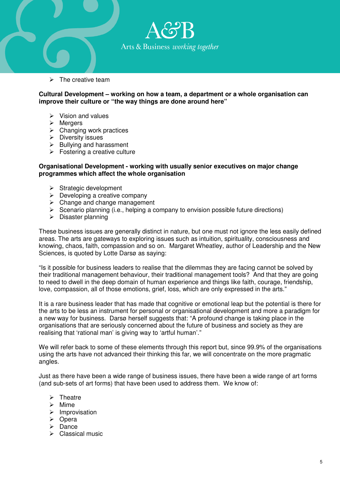

 $\triangleright$  The creative team

**Cultural Development – working on how a team, a department or a whole organisation can improve their culture or "the way things are done around here"** 

- $\triangleright$  Vision and values
- $\triangleright$  Mergers
- $\triangleright$  Changing work practices
- $\triangleright$  Diversity issues
- $\triangleright$  Bullying and harassment
- $\triangleright$  Fostering a creative culture

#### **Organisational Development - working with usually senior executives on major change programmes which affect the whole organisation**

- $\triangleright$  Strategic development
- $\triangleright$  Developing a creative company
- $\triangleright$  Change and change management
- $\triangleright$  Scenario planning (i.e., helping a company to envision possible future directions)
- $\triangleright$  Disaster planning

These business issues are generally distinct in nature, but one must not ignore the less easily defined areas. The arts are gateways to exploring issues such as intuition, spirituality, consciousness and knowing, chaos, faith, compassion and so on. Margaret Wheatley, author of Leadership and the New Sciences, is quoted by Lotte Darsø as saying:

"Is it possible for business leaders to realise that the dilemmas they are facing cannot be solved by their traditional management behaviour, their traditional management tools? And that they are going to need to dwell in the deep domain of human experience and things like faith, courage, friendship, love, compassion, all of those emotions, grief, loss, which are only expressed in the arts."

It is a rare business leader that has made that cognitive or emotional leap but the potential is there for the arts to be less an instrument for personal or organisational development and more a paradigm for a new way for business. Darsø herself suggests that: "A profound change is taking place in the organisations that are seriously concerned about the future of business and society as they are realising that 'rational man' is giving way to 'artful human'."

We will refer back to some of these elements through this report but, since 99.9% of the organisations using the arts have not advanced their thinking this far, we will concentrate on the more pragmatic angles.

Just as there have been a wide range of business issues, there have been a wide range of art forms (and sub-sets of art forms) that have been used to address them. We know of:

- $\triangleright$  Theatre
- $\triangleright$  Mime
- $\triangleright$  Improvisation
- $\triangleright$  Opera
- $\triangleright$  Dance
- $\triangleright$  Classical music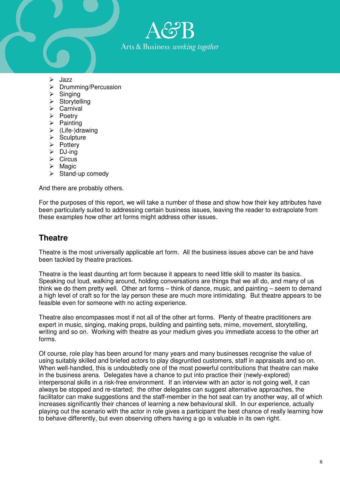

- $\blacktriangleright$  Jazz
- > Drumming/Percussion
- $\triangleright$  Singing
- $\triangleright$  Storytelling
- $\triangleright$  Carnival
- $\triangleright$  Poetry
- $\triangleright$  Painting
- $\triangleright$  (Life-)drawing
- $\triangleright$  Sculpture
- $\triangleright$  Pottery
- $\triangleright$  DJ-ing
- $\triangleright$  Circus
- $\triangleright$  Magic
- $\triangleright$  Stand-up comedy

And there are probably others.

For the purposes of this report, we will take a number of these and show how their key attributes have been particularly suited to addressing certain business issues, leaving the reader to extrapolate from these examples how other art forms might address other issues.

## **Theatre**

Theatre is the most universally applicable art form. All the business issues above can be and have been tackled by theatre practices.

Theatre is the least daunting art form because it appears to need little skill to master its basics. Speaking out loud, walking around, holding conversations are things that we all do, and many of us think we do them pretty well. Other art forms – think of dance, music, and painting – seem to demand a high level of craft so for the lay person these are much more intimidating. But theatre appears to be feasible even for someone with no acting experience.

Theatre also encompasses most if not all of the other art forms. Plenty of theatre practitioners are expert in music, singing, making props, building and painting sets, mime, movement, storytelling, writing and so on. Working with theatre as your medium gives you immediate access to the other art forms.

Of course, role play has been around for many years and many businesses recognise the value of using suitably skilled and briefed actors to play disgruntled customers, staff in appraisals and so on. When well-handled, this is undoubtedly one of the most powerful contributions that theatre can make in the business arena. Delegates have a chance to put into practice their (newly-explored) interpersonal skills in a risk-free environment. If an interview with an actor is not going well, it can always be stopped and re-started; the other delegates can suggest alternative approaches, the facilitator can make suggestions and the staff-member in the hot seat can try another way, all of which increases significantly their chances of learning a new behavioural skill. In our experience, actually playing out the scenario with the actor in role gives a participant the best chance of really learning how to behave differently, but even observing others having a go is valuable in its own right.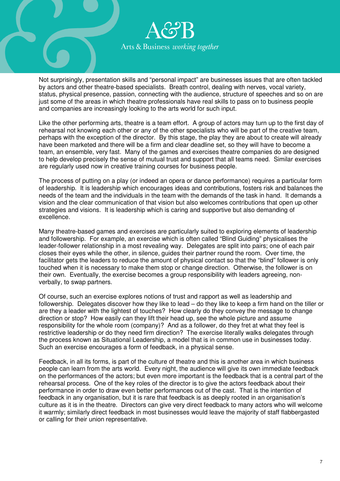

Not surprisingly, presentation skills and "personal impact" are businesses issues that are often tackled by actors and other theatre-based specialists. Breath control, dealing with nerves, vocal variety, status, physical presence, passion, connecting with the audience, structure of speeches and so on are just some of the areas in which theatre professionals have real skills to pass on to business people and companies are increasingly looking to the arts world for such input.

Like the other performing arts, theatre is a team effort. A group of actors may turn up to the first day of rehearsal not knowing each other or any of the other specialists who will be part of the creative team, perhaps with the exception of the director. By this stage, the play they are about to create will already have been marketed and there will be a firm and clear deadline set, so they will have to become a team, an ensemble, very fast. Many of the games and exercises theatre companies do are designed to help develop precisely the sense of mutual trust and support that all teams need. Similar exercises are regularly used now in creative training courses for business people.

The process of putting on a play (or indeed an opera or dance performance) requires a particular form of leadership. It is leadership which encourages ideas and contributions, fosters risk and balances the needs of the team and the individuals in the team with the demands of the task in hand. It demands a vision and the clear communication of that vision but also welcomes contributions that open up other strategies and visions. It is leadership which is caring and supportive but also demanding of excellence.

Many theatre-based games and exercises are particularly suited to exploring elements of leadership and followership. For example, an exercise which is often called "Blind Guiding" physicalises the leader-follower relationship in a most revealing way. Delegates are split into pairs; one of each pair closes their eyes while the other, in silence, guides their partner round the room. Over time, the facilitator gets the leaders to reduce the amount of physical contact so that the "blind" follower is only touched when it is necessary to make them stop or change direction. Otherwise, the follower is on their own. Eventually, the exercise becomes a group responsibility with leaders agreeing, nonverbally, to swap partners.

Of course, such an exercise explores notions of trust and rapport as well as leadership and followership. Delegates discover how they like to lead – do they like to keep a firm hand on the tiller or are they a leader with the lightest of touches? How clearly do they convey the message to change direction or stop? How easily can they lift their head up, see the whole picture and assume responsibility for the whole room (company)? And as a follower, do they fret at what they feel is restrictive leadership or do they need firm direction? The exercise literally walks delegates through the process known as Situational Leadership, a model that is in common use in businesses today. Such an exercise encourages a form of feedback, in a physical sense.

Feedback, in all its forms, is part of the culture of theatre and this is another area in which business people can learn from the arts world. Every night, the audience will give its own immediate feedback on the performances of the actors; but even more important is the feedback that is a central part of the rehearsal process. One of the key roles of the director is to give the actors feedback about their performance in order to draw even better performances out of the cast. That is the intention of feedback in any organisation, but it is rare that feedback is as deeply rooted in an organisation's culture as it is in the theatre. Directors can give very direct feedback to many actors who will welcome it warmly; similarly direct feedback in most businesses would leave the majority of staff flabbergasted or calling for their union representative.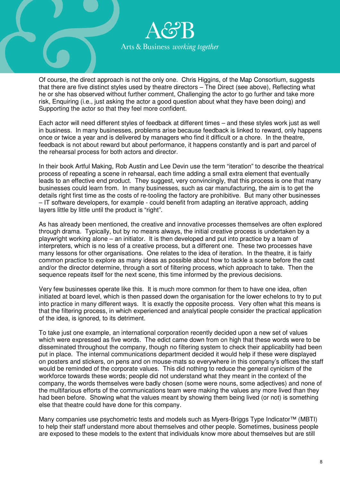

Of course, the direct approach is not the only one. Chris Higgins, of the Map Consortium, suggests that there are five distinct styles used by theatre directors – The Direct (see above), Reflecting what he or she has observed without further comment, Challenging the actor to go further and take more risk, Enquiring (i.e., just asking the actor a good question about what they have been doing) and Supporting the actor so that they feel more confident.

Each actor will need different styles of feedback at different times – and these styles work just as well in business. In many businesses, problems arise because feedback is linked to reward, only happens once or twice a year and is delivered by managers who find it difficult or a chore. In the theatre, feedback is not about reward but about performance, it happens constantly and is part and parcel of the rehearsal process for both actors and director.

In their book Artful Making, Rob Austin and Lee Devin use the term "iteration" to describe the theatrical process of repeating a scene in rehearsal, each time adding a small extra element that eventually leads to an effective end product. They suggest, very convincingly, that this process is one that many businesses could learn from. In many businesses, such as car manufacturing, the aim is to get the details right first time as the costs of re-tooling the factory are prohibitive. But many other businesses – IT software developers, for example - could benefit from adapting an iterative approach, adding layers little by little until the product is "right".

As has already been mentioned, the creative and innovative processes themselves are often explored through drama. Typically, but by no means always, the initial creative process is undertaken by a playwright working alone – an initiator. It is then developed and put into practice by a team of interpreters, which is no less of a creative process, but a different one. These two processes have many lessons for other organisations. One relates to the idea of iteration. In the theatre, it is fairly common practice to explore as many ideas as possible about how to tackle a scene before the cast and/or the director determine, through a sort of filtering process, which approach to take. Then the sequence repeats itself for the next scene, this time informed by the previous decisions.

Very few businesses operate like this. It is much more common for them to have one idea, often initiated at board level, which is then passed down the organisation for the lower echelons to try to put into practice in many different ways. It is exactly the opposite process. Very often what this means is that the filtering process, in which experienced and analytical people consider the practical application of the idea, is ignored, to its detriment.

To take just one example, an international corporation recently decided upon a new set of values which were expressed as five words. The edict came down from on high that these words were to be disseminated throughout the company, though no filtering system to check their applicability had been put in place. The internal communications department decided it would help if these were displayed on posters and stickers, on pens and on mouse-mats so everywhere in this company's offices the staff would be reminded of the corporate values. This did nothing to reduce the general cynicism of the workforce towards these words; people did not understand what they meant in the context of the company, the words themselves were badly chosen (some were nouns, some adjectives) and none of the multifarious efforts of the communications team were making the values any more lived than they had been before. Showing what the values meant by showing them being lived (or not) is something else that theatre could have done for this company.

Many companies use psychometric tests and models such as Myers-Briggs Type Indicator™ (MBTI) to help their staff understand more about themselves and other people. Sometimes, business people are exposed to these models to the extent that individuals know more about themselves but are still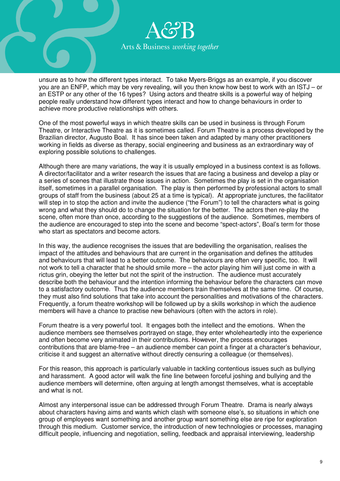

unsure as to how the different types interact. To take Myers-Briggs as an example, if you discover you are an ENFP, which may be very revealing, will you then know how best to work with an ISTJ – or an ESTP or any other of the 16 types? Using actors and theatre skills is a powerful way of helping people really understand how different types interact and how to change behaviours in order to achieve more productive relationships with others.

One of the most powerful ways in which theatre skills can be used in business is through Forum Theatre, or Interactive Theatre as it is sometimes called. Forum Theatre is a process developed by the Brazilian director, Augusto Boal. It has since been taken and adapted by many other practitioners working in fields as diverse as therapy, social engineering and business as an extraordinary way of exploring possible solutions to challenges.

Although there are many variations, the way it is usually employed in a business context is as follows. A director/facilitator and a writer research the issues that are facing a business and develop a play or a series of scenes that illustrate those issues in action. Sometimes the play is set in the organisation itself, sometimes in a parallel organisation. The play is then performed by professional actors to small groups of staff from the business (about 25 at a time is typical). At appropriate junctures, the facilitator will step in to stop the action and invite the audience ("the Forum") to tell the characters what is going wrong and what they should do to change the situation for the better. The actors then re-play the scene, often more than once, according to the suggestions of the audience. Sometimes, members of the audience are encouraged to step into the scene and become "spect-actors", Boal's term for those who start as spectators and become actors.

In this way, the audience recognises the issues that are bedevilling the organisation, realises the impact of the attitudes and behaviours that are current in the organisation and defines the attitudes and behaviours that will lead to a better outcome. The behaviours are often very specific, too. It will not work to tell a character that he should smile more – the actor playing him will just come in with a rictus grin, obeying the letter but not the spirit of the instruction. The audience must accurately describe both the behaviour and the intention informing the behaviour before the characters can move to a satisfactory outcome. Thus the audience members train themselves at the same time. Of course, they must also find solutions that take into account the personalities and motivations of the characters. Frequently, a forum theatre workshop will be followed up by a skills workshop in which the audience members will have a chance to practise new behaviours (often with the actors in role).

Forum theatre is a very powerful tool. It engages both the intellect and the emotions. When the audience members see themselves portrayed on stage, they enter wholeheartedly into the experience and often become very animated in their contributions. However, the process encourages contributions that are blame-free – an audience member can point a finger at a character's behaviour, criticise it and suggest an alternative without directly censuring a colleague (or themselves).

For this reason, this approach is particularly valuable in tackling contentious issues such as bullying and harassment. A good actor will walk the fine line between forceful joshing and bullying and the audience members will determine, often arguing at length amongst themselves, what is acceptable and what is not.

Almost any interpersonal issue can be addressed through Forum Theatre. Drama is nearly always about characters having aims and wants which clash with someone else's, so situations in which one group of employees want something and another group want something else are ripe for exploration through this medium. Customer service, the introduction of new technologies or processes, managing difficult people, influencing and negotiation, selling, feedback and appraisal interviewing, leadership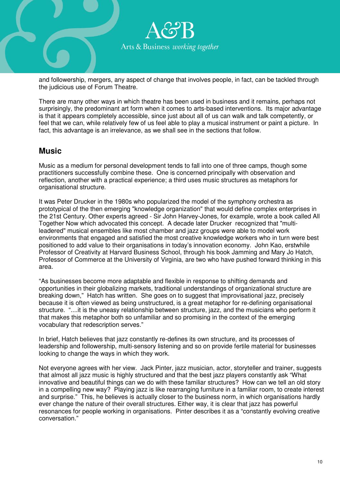

and followership, mergers, any aspect of change that involves people, in fact, can be tackled through the judicious use of Forum Theatre.

There are many other ways in which theatre has been used in business and it remains, perhaps not surprisingly, the predominant art form when it comes to arts-based interventions. Its major advantage is that it appears completely accessible, since just about all of us can walk and talk competently, or feel that we can, while relatively few of us feel able to play a musical instrument or paint a picture. In fact, this advantage is an irrelevance, as we shall see in the sections that follow.

## **Music**

Music as a medium for personal development tends to fall into one of three camps, though some practitioners successfully combine these. One is concerned principally with observation and reflection, another with a practical experience; a third uses music structures as metaphors for organisational structure.

It was Peter Drucker in the 1980s who popularized the model of the symphony orchestra as prototypical of the then emerging "knowledge organization" that would define complex enterprises in the 21st Century. Other experts agreed - Sir John Harvey-Jones, for example, wrote a book called All Together Now which advocated this concept. A decade later Drucker recognized that "multileadered" musical ensembles like most chamber and jazz groups were able to model work environments that engaged and satisfied the most creative knowledge workers who in turn were best positioned to add value to their organisations in today's innovation economy. John Kao, erstwhile Professor of Creativity at Harvard Business School, through his book Jamming and Mary Jo Hatch, Professor of Commerce at the University of Virginia, are two who have pushed forward thinking in this area.

"As businesses become more adaptable and flexible in response to shifting demands and opportunities in their globalizing markets, traditional understandings of organizational structure are breaking down," Hatch has written. She goes on to suggest that improvisational jazz, precisely because it is often viewed as being unstructured, is a great metaphor for re-defining organisational structure. "....it is the uneasy relationship between structure, jazz, and the musicians who perform it that makes this metaphor both so unfamiliar and so promising in the context of the emerging vocabulary that redescription serves."

In brief, Hatch believes that jazz constantly re-defines its own structure, and its processes of leadership and followership, multi-sensory listening and so on provide fertile material for businesses looking to change the ways in which they work.

Not everyone agrees with her view. Jack Pinter, jazz musician, actor, storyteller and trainer, suggests that almost all jazz music is highly structured and that the best jazz players constantly ask "What innovative and beautiful things can we do with these familiar structures? How can we tell an old story in a compelling new way? Playing jazz is like rearranging furniture in a familiar room, to create interest and surprise." This, he believes is actually closer to the business norm, in which organisations hardly ever change the nature of their overall structures. Either way, it is clear that jazz has powerful resonances for people working in organisations. Pinter describes it as a "constantly evolving creative conversation."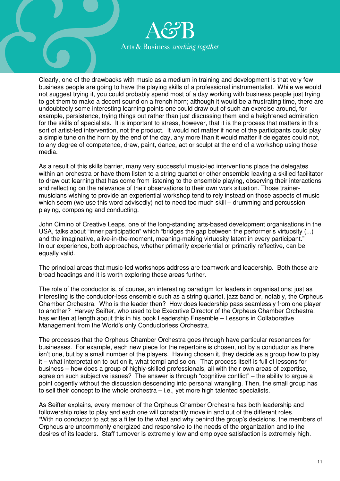

Clearly, one of the drawbacks with music as a medium in training and development is that very few business people are going to have the playing skills of a professional instrumentalist. While we would not suggest trying it, you could probably spend most of a day working with business people just trying to get them to make a decent sound on a french horn; although it would be a frustrating time, there are undoubtedly some interesting learning points one could draw out of such an exercise around, for example, persistence, trying things out rather than just discussing them and a heightened admiration for the skills of specialists. It is important to stress, however, that it is the process that matters in this sort of artist-led intervention, not the product. It would not matter if none of the participants could play a simple tune on the horn by the end of the day, any more than it would matter if delegates could not, to any degree of competence, draw, paint, dance, act or sculpt at the end of a workshop using those media.

As a result of this skills barrier, many very successful music-led interventions place the delegates within an orchestra or have them listen to a string quartet or other ensemble leaving a skilled facilitator to draw out learning that has come from listening to the ensemble playing, observing their interactions and reflecting on the relevance of their observations to their own work situation. Those trainermusicians wishing to provide an experiential workshop tend to rely instead on those aspects of music which seem (we use this word advisedly) not to need too much skill – drumming and percussion playing, composing and conducting.

John Cimino of Creative Leaps, one of the long-standing arts-based development organisations in the USA, talks about "inner participation" which "bridges the gap between the performer's virtuosity (...) and the imaginative, alive-in-the-moment, meaning-making virtuosity latent in every participant." In our experience, both approaches, whether primarily experiential or primarily reflective, can be equally valid.

The principal areas that music-led workshops address are teamwork and leadership. Both those are broad headings and it is worth exploring these areas further.

The role of the conductor is, of course, an interesting paradigm for leaders in organisations; just as interesting is the conductor-less ensemble such as a string quartet, jazz band or, notably, the Orpheus Chamber Orchestra. Who is the leader then? How does leadership pass seamlessly from one player to another? Harvey Seifter, who used to be Executive Director of the Orpheus Chamber Orchestra, has written at length about this in his book Leadership Ensemble – Lessons in Collaborative Management from the World's only Conductorless Orchestra.

The processes that the Orpheus Chamber Orchestra goes through have particular resonances for businesses. For example, each new piece for the repertoire is chosen, not by a conductor as there isn't one, but by a small number of the players. Having chosen it, they decide as a group how to play it – what interpretation to put on it, what tempi and so on. That process itself is full of lessons for business – how does a group of highly-skilled professionals, all with their own areas of expertise, agree on such subjective issues? The answer is through "cognitive conflict" – the ability to argue a point cogently without the discussion descending into personal wrangling. Then, the small group has to sell their concept to the whole orchestra – i.e., yet more high talented specialists.

As Seifter explains, every member of the Orpheus Chamber Orchestra has both leadership and followership roles to play and each one will constantly move in and out of the different roles. "With no conductor to act as a filter to the what and why behind the group's decisions, the members of Orpheus are uncommonly energized and responsive to the needs of the organization and to the desires of its leaders. Staff turnover is extremely low and employee satisfaction is extremely high.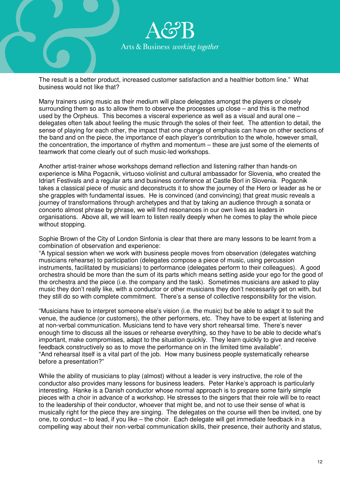

The result is a better product, increased customer satisfaction and a healthier bottom line." What business would not like that?

Many trainers using music as their medium will place delegates amongst the players or closely surrounding them so as to allow them to observe the processes up close – and this is the method used by the Orpheus. This becomes a visceral experience as well as a visual and aural one – delegates often talk about feeling the music through the soles of their feet. The attention to detail, the sense of playing for each other, the impact that one change of emphasis can have on other sections of the band and on the piece, the importance of each player's contribution to the whole, however small, the concentration, the importance of rhythm and momentum – these are just some of the elements of teamwork that come clearly out of such music-led workshops.

Another artist-trainer whose workshops demand reflection and listening rather than hands-on experience is Miha Pogacnik, virtuoso violinist and cultural ambassador for Slovenia, who created the Idriart Festivals and a regular arts and business conference at Castle Borl in Slovenia. Pogacnik takes a classical piece of music and deconstructs it to show the journey of the Hero or leader as he or she grapples with fundamental issues. He is convinced (and convincing) that great music reveals a journey of transformations through archetypes and that by taking an audience through a sonata or concerto almost phrase by phrase, we will find resonances in our own lives as leaders in organisations. Above all, we will learn to listen really deeply when he comes to play the whole piece without stopping.

Sophie Brown of the City of London Sinfonia is clear that there are many lessons to be learnt from a combination of observation and experience:

"A typical session when we work with business people moves from observation (delegates watching musicians rehearse) to participation (delegates compose a piece of music, using percussion instruments, facilitated by musicians) to performance (delegates perform to their colleagues). A good orchestra should be more than the sum of its parts which means setting aside your ego for the good of the orchestra and the piece (i.e. the company and the task). Sometimes musicians are asked to play music they don't really like, with a conductor or other musicians they don't necessarily get on with, but they still do so with complete commitment. There's a sense of collective responsibility for the vision.

"Musicians have to interpret someone else's vision (i.e. the music) but be able to adapt it to suit the venue, the audience (or customers), the other performers, etc. They have to be expert at listening and at non-verbal communication. Musicians tend to have very short rehearsal time. There's never enough time to discuss all the issues or rehearse everything, so they have to be able to decide what's important, make compromises, adapt to the situation quickly. They learn quickly to give and receive feedback constructively so as to move the performance on in the limited time available". "And rehearsal itself is a vital part of the job. How many business people systematically rehearse before a presentation?"

While the ability of musicians to play (almost) without a leader is very instructive, the role of the conductor also provides many lessons for business leaders. Peter Hanke's approach is particularly interesting. Hanke is a Danish conductor whose normal approach is to prepare some fairly simple pieces with a choir in advance of a workshop. He stresses to the singers that their role will be to react to the leadership of their conductor, whoever that might be, and not to use their sense of what is musically right for the piece they are singing. The delegates on the course will then be invited, one by one, to conduct – to lead, if you like – the choir. Each delegate will get immediate feedback in a compelling way about their non-verbal communication skills, their presence, their authority and status,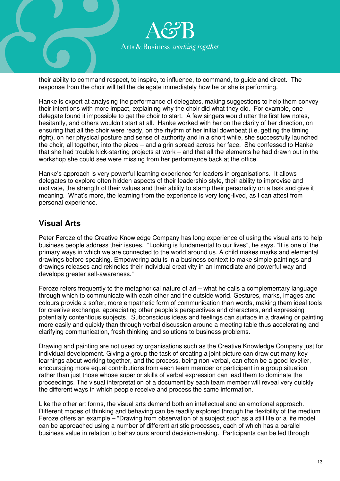

their ability to command respect, to inspire, to influence, to command, to guide and direct. The response from the choir will tell the delegate immediately how he or she is performing.

Hanke is expert at analysing the performance of delegates, making suggestions to help them convey their intentions with more impact, explaining why the choir did what they did. For example, one delegate found it impossible to get the choir to start. A few singers would utter the first few notes, hesitantly, and others wouldn't start at all. Hanke worked with her on the clarity of her direction, on ensuring that all the choir were ready, on the rhythm of her initial downbeat (i.e. getting the timing right), on her physical posture and sense of authority and in a short while, she successfully launched the choir, all together, into the piece – and a grin spread across her face. She confessed to Hanke that she had trouble kick-starting projects at work – and that all the elements he had drawn out in the workshop she could see were missing from her performance back at the office.

Hanke's approach is very powerful learning experience for leaders in organisations. It allows delegates to explore often hidden aspects of their leadership style, their ability to improvise and motivate, the strength of their values and their ability to stamp their personality on a task and give it meaning. What's more, the learning from the experience is very long-lived, as I can attest from personal experience.

## **Visual Arts**

Peter Feroze of the Creative Knowledge Company has long experience of using the visual arts to help business people address their issues. "Looking is fundamental to our lives", he says. "It is one of the primary ways in which we are connected to the world around us. A child makes marks and elemental drawings before speaking. Empowering adults in a business context to make simple paintings and drawings releases and rekindles their individual creativity in an immediate and powerful way and develops greater self-awareness."

Feroze refers frequently to the metaphorical nature of art – what he calls a complementary language through which to communicate with each other and the outside world. Gestures, marks, images and colours provide a softer, more empathetic form of communication than words, making them ideal tools for creative exchange, appreciating other people's perspectives and characters, and expressing potentially contentious subjects. Subconscious ideas and feelings can surface in a drawing or painting more easily and quickly than through verbal discussion around a meeting table thus accelerating and clarifying communication, fresh thinking and solutions to business problems.

Drawing and painting are not used by organisations such as the Creative Knowledge Company just for individual development. Giving a group the task of creating a joint picture can draw out many key learnings about working together, and the process, being non-verbal, can often be a good leveller, encouraging more equal contributions from each team member or participant in a group situation rather than just those whose superior skills of verbal expression can lead them to dominate the proceedings. The visual interpretation of a document by each team member will reveal very quickly the different ways in which people receive and process the same information.

Like the other art forms, the visual arts demand both an intellectual and an emotional approach. Different modes of thinking and behaving can be readily explored through the flexibility of the medium. Feroze offers an example – "Drawing from observation of a subject such as a still life or a life model can be approached using a number of different artistic processes, each of which has a parallel business value in relation to behaviours around decision-making. Participants can be led through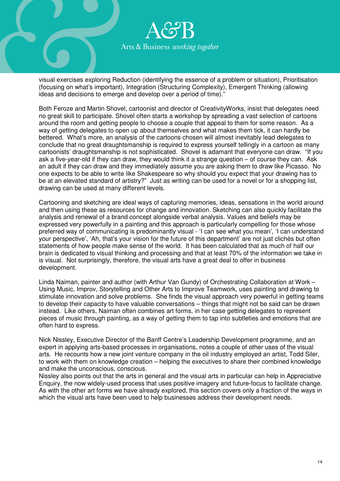

visual exercises exploring Reduction (identifying the essence of a problem or situation), Prioritisation (focusing on what's important), Integration (Structuring Complexity), Emergent Thinking (allowing ideas and decisions to emerge and develop over a period of time)."

Both Feroze and Martin Shovel, cartoonist and director of CreativityWorks, insist that delegates need no great skill to participate. Shovel often starts a workshop by spreading a vast selection of cartoons around the room and getting people to choose a couple that appeal to them for some reason. As a way of getting delegates to open up about themselves and what makes them tick, it can hardly be bettered. What's more, an analysis of the cartoons chosen will almost inevitably lead delegates to conclude that no great draughtsmanship is required to express yourself tellingly in a cartoon as many cartoonists' draughtsmanship is not sophisticated. Shovel is adamant that everyone can draw. "If you ask a five-year-old if they can draw, they would think it a strange question – of course they can. Ask an adult if they can draw and they immediately assume you are asking them to draw like Picasso. No one expects to be able to write like Shakespeare so why should you expect that your drawing has to be at an elevated standard of artistry?" Just as writing can be used for a novel or for a shopping list, drawing can be used at many different levels.

Cartooning and sketching are ideal ways of capturing memories, ideas, sensations in the world around and then using these as resources for change and innovation. Sketching can also quickly facilitate the analysis and renewal of a brand concept alongside verbal analysis. Values and beliefs may be expressed very powerfully in a painting and this approach is particularly compelling for those whose preferred way of communicating is predominantly visual - 'I can see what you mean', 'I can understand your perspective', 'Ah, that's your vision for the future of this department' are not just clichés but often statements of how people make sense of the world. It has been calculated that as much of half our brain is dedicated to visual thinking and processing and that at least 70% of the information we take in is visual. Not surprisingly, therefore, the visual arts have a great deal to offer in business development.

Linda Naiman, painter and author (with Arthur Van Gundy) of Orchestrating Collaboration at Work – Using Music, Improv, Storytelling and Other Arts to Improve Teamwork, uses painting and drawing to stimulate innovation and solve problems. She finds the visual approach very powerful in getting teams to develop their capacity to have valuable conversations – things that might not be said can be drawn instead. Like others, Naiman often combines art forms, in her case getting delegates to represent pieces of music through painting, as a way of getting them to tap into subtleties and emotions that are often hard to express.

Nick Nissley, Executive Director of the Banff Centre's Leadership Development programme, and an expert in applying arts-based processes in organisations, notes a couple of other uses of the visual arts. He recounts how a new joint venture company in the oil industry employed an artist, Todd Siler, to work with them on knowledge creation – helping the executives to share their combined knowledge and make the unconscious, conscious.

Nissley also points out that the arts in general and the visual arts in particular can help in Appreciative Enquiry, the now widely-used process that uses positive imagery and future-focus to facilitate change. As with the other art forms we have already explored, this section covers only a fraction of the ways in which the visual arts have been used to help businesses address their development needs.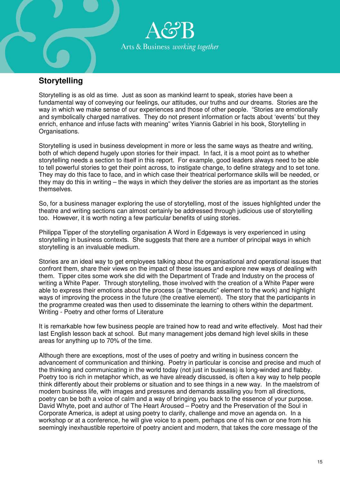

## **Storytelling**

Storytelling is as old as time. Just as soon as mankind learnt to speak, stories have been a fundamental way of conveying our feelings, our attitudes, our truths and our dreams. Stories are the way in which we make sense of our experiences and those of other people. "Stories are emotionally and symbolically charged narratives. They do not present information or facts about 'events' but they enrich, enhance and infuse facts with meaning" writes Yiannis Gabriel in his book, Storytelling in Organisations.

Storytelling is used in business development in more or less the same ways as theatre and writing, both of which depend hugely upon stories for their impact. In fact, it is a moot point as to whether storytelling needs a section to itself in this report. For example, good leaders always need to be able to tell powerful stories to get their point across, to instigate change, to define strategy and to set tone. They may do this face to face, and in which case their theatrical performance skills will be needed, or they may do this in writing – the ways in which they deliver the stories are as important as the stories themselves.

So, for a business manager exploring the use of storytelling, most of the issues highlighted under the theatre and writing sections can almost certainly be addressed through judicious use of storytelling too. However, it is worth noting a few particular benefits of using stories.

Philippa Tipper of the storytelling organisation A Word in Edgeways is very experienced in using storytelling in business contexts. She suggests that there are a number of principal ways in which storytelling is an invaluable medium.

Stories are an ideal way to get employees talking about the organisational and operational issues that confront them, share their views on the impact of these issues and explore new ways of dealing with them. Tipper cites some work she did with the Department of Trade and Industry on the process of writing a White Paper. Through storytelling, those involved with the creation of a White Paper were able to express their emotions about the process (a "therapeutic" element to the work) and highlight ways of improving the process in the future (the creative element). The story that the participants in the programme created was then used to disseminate the learning to others within the department. Writing - Poetry and other forms of Literature

It is remarkable how few business people are trained how to read and write effectively. Most had their last English lesson back at school. But many management jobs demand high level skills in these areas for anything up to 70% of the time.

Although there are exceptions, most of the uses of poetry and writing in business concern the advancement of communication and thinking. Poetry in particular is concise and precise and much of the thinking and communicating in the world today (not just in business) is long-winded and flabby. Poetry too is rich in metaphor which, as we have already discussed, is often a key way to help people think differently about their problems or situation and to see things in a new way. In the maelstrom of modern business life, with images and pressures and demands assailing you from all directions, poetry can be both a voice of calm and a way of bringing you back to the essence of your purpose. David Whyte, poet and author of The Heart Aroused – Poetry and the Preservation of the Soul in Corporate America, is adept at using poetry to clarify, challenge and move an agenda on. In a workshop or at a conference, he will give voice to a poem, perhaps one of his own or one from his seemingly inexhaustible repertoire of poetry ancient and modern, that takes the core message of the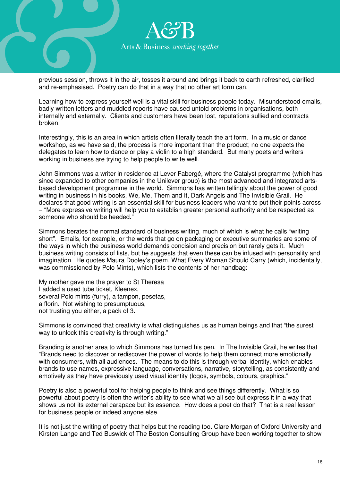

previous session, throws it in the air, tosses it around and brings it back to earth refreshed, clarified and re-emphasised. Poetry can do that in a way that no other art form can.

Learning how to express yourself well is a vital skill for business people today. Misunderstood emails, badly written letters and muddled reports have caused untold problems in organisations, both internally and externally. Clients and customers have been lost, reputations sullied and contracts broken.

Interestingly, this is an area in which artists often literally teach the art form. In a music or dance workshop, as we have said, the process is more important than the product; no one expects the delegates to learn how to dance or play a violin to a high standard. But many poets and writers working in business are trying to help people to write well.

John Simmons was a writer in residence at Lever Fabergé, where the Catalyst programme (which has since expanded to other companies in the Unilever group) is the most advanced and integrated artsbased development programme in the world. Simmons has written tellingly about the power of good writing in business in his books, We, Me, Them and It, Dark Angels and The Invisible Grail. He declares that good writing is an essential skill for business leaders who want to put their points across – "More expressive writing will help you to establish greater personal authority and be respected as someone who should be heeded."

Simmons berates the normal standard of business writing, much of which is what he calls "writing short". Emails, for example, or the words that go on packaging or executive summaries are some of the ways in which the business world demands concision and precision but rarely gets it. Much business writing consists of lists, but he suggests that even these can be infused with personality and imagination. He quotes Maura Dooley's poem, What Every Woman Should Carry (which, incidentally, was commissioned by Polo Mints), which lists the contents of her handbag:

My mother gave me the prayer to St Theresa I added a used tube ticket, Kleenex, several Polo mints (furry), a tampon, pesetas, a florin. Not wishing to presumptuous, not trusting you either, a pack of 3.

Simmons is convinced that creativity is what distinguishes us as human beings and that "the surest way to unlock this creativity is through writing."

Branding is another area to which Simmons has turned his pen. In The Invisible Grail, he writes that "Brands need to discover or rediscover the power of words to help them connect more emotionally with consumers, with all audiences. The means to do this is through verbal identity, which enables brands to use names, expressive language, conversations, narrative, storytelling, as consistently and emotively as they have previously used visual identity (logos, symbols, colours, graphics."

Poetry is also a powerful tool for helping people to think and see things differently. What is so powerful about poetry is often the writer's ability to see what we all see but express it in a way that shows us not its external carapace but its essence. How does a poet do that? That is a real lesson for business people or indeed anyone else.

It is not just the writing of poetry that helps but the reading too. Clare Morgan of Oxford University and Kirsten Lange and Ted Buswick of The Boston Consulting Group have been working together to show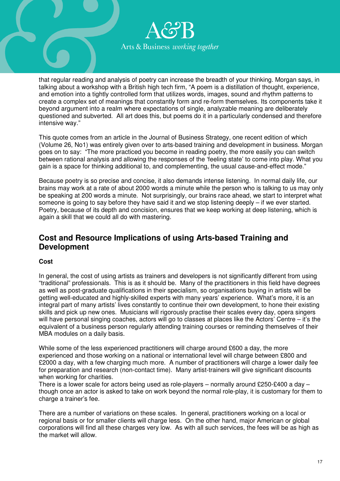

that regular reading and analysis of poetry can increase the breadth of your thinking. Morgan says, in talking about a workshop with a British high tech firm, "A poem is a distillation of thought, experience, and emotion into a tightly controlled form that utilizes words, images, sound and rhythm patterns to create a complex set of meanings that constantly form and re-form themselves. Its components take it beyond argument into a realm where expectations of single, analyzable meaning are deliberately questioned and subverted. All art does this, but poems do it in a particularly condensed and therefore intensive way."

This quote comes from an article in the Journal of Business Strategy, one recent edition of which (Volume 26, No1) was entirely given over to arts-based training and development in business. Morgan goes on to say: "The more practiced you become in reading poetry, the more easily you can switch between rational analysis and allowing the responses of the 'feeling state' to come into play. What you gain is a space for thinking additional to, and complementing, the usual cause-and-effect mode."

Because poetry is so precise and concise, it also demands intense listening. In normal daily life, our brains may work at a rate of about 2000 words a minute while the person who is talking to us may only be speaking at 200 words a minute. Not surprisingly, our brains race ahead, we start to interpret what someone is going to say before they have said it and we stop listening deeply – if we ever started. Poetry, because of its depth and concision, ensures that we keep working at deep listening, which is again a skill that we could all do with mastering.

## **Cost and Resource Implications of using Arts-based Training and Development**

## **Cost**

In general, the cost of using artists as trainers and developers is not significantly different from using "traditional" professionals. This is as it should be. Many of the practitioners in this field have degrees as well as post-graduate qualifications in their specialism, so organisations buying in artists will be getting well-educated and highly-skilled experts with many years' experience. What's more, it is an integral part of many artists' lives constantly to continue their own development, to hone their existing skills and pick up new ones. Musicians will rigorously practise their scales every day, opera singers will have personal singing coaches, actors will go to classes at places like the Actors' Centre – it's the equivalent of a business person regularly attending training courses or reminding themselves of their MBA modules on a daily basis.

While some of the less experienced practitioners will charge around £600 a day, the more experienced and those working on a national or international level will charge between £800 and £2000 a day, with a few charging much more. A number of practitioners will charge a lower daily fee for preparation and research (non-contact time). Many artist-trainers will give significant discounts when working for charities.

There is a lower scale for actors being used as role-players – normally around £250-£400 a day – though once an actor is asked to take on work beyond the normal role-play, it is customary for them to charge a trainer's fee.

There are a number of variations on these scales. In general, practitioners working on a local or regional basis or for smaller clients will charge less. On the other hand, major American or global corporations will find all these charges very low. As with all such services, the fees will be as high as the market will allow.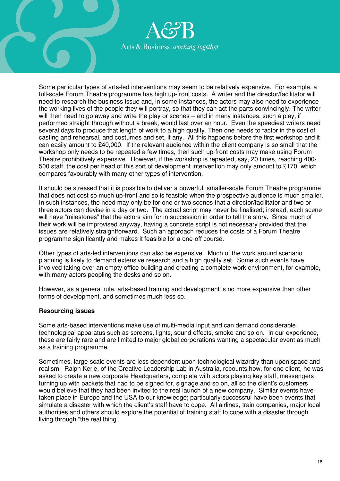

Some particular types of arts-led interventions may seem to be relatively expensive. For example, a full-scale Forum Theatre programme has high up-front costs. A writer and the director/facilitator will need to research the business issue and, in some instances, the actors may also need to experience the working lives of the people they will portray, so that they can act the parts convincingly. The writer will then need to go away and write the play or scenes – and in many instances, such a play, if performed straight through without a break, would last over an hour. Even the speediest writers need several days to produce that length of work to a high quality. Then one needs to factor in the cost of casting and rehearsal, and costumes and set, if any. All this happens before the first workshop and it can easily amount to £40,000. If the relevant audience within the client company is so small that the workshop only needs to be repeated a few times, then such up-front costs may make using Forum Theatre prohibitively expensive. However, if the workshop is repeated, say, 20 times, reaching 400- 500 staff, the cost per head of this sort of development intervention may only amount to £170, which compares favourably with many other types of intervention.

It should be stressed that it is possible to deliver a powerful, smaller-scale Forum Theatre programme that does not cost so much up-front and so is feasible when the prospective audience is much smaller. In such instances, the need may only be for one or two scenes that a director/facilitator and two or three actors can devise in a day or two. The actual script may never be finalised; instead, each scene will have "milestones" that the actors aim for in succession in order to tell the story. Since much of their work will be improvised anyway, having a concrete script is not necessary provided that the issues are relatively straightforward. Such an approach reduces the costs of a Forum Theatre programme significantly and makes it feasible for a one-off course.

Other types of arts-led interventions can also be expensive. Much of the work around scenario planning is likely to demand extensive research and a high quality set. Some such events have involved taking over an empty office building and creating a complete work environment, for example, with many actors peopling the desks and so on.

However, as a general rule, arts-based training and development is no more expensive than other forms of development, and sometimes much less so.

## **Resourcing issues**

Some arts-based interventions make use of multi-media input and can demand considerable technological apparatus such as screens, lights, sound effects, smoke and so on. In our experience, these are fairly rare and are limited to major global corporations wanting a spectacular event as much as a training programme.

Sometimes, large-scale events are less dependent upon technological wizardry than upon space and realism. Ralph Kerle, of the Creative Leadership Lab in Australia, recounts how, for one client, he was asked to create a new corporate Headquarters, complete with actors playing key staff, messengers turning up with packets that had to be signed for, signage and so on, all so the client's customers would believe that they had been invited to the real launch of a new company. Similar events have taken place in Europe and the USA to our knowledge; particularly successful have been events that simulate a disaster with which the client's staff have to cope. All airlines, train companies, major local authorities and others should explore the potential of training staff to cope with a disaster through living through "the real thing".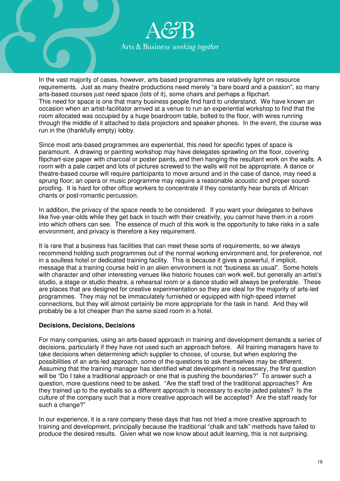

In the vast majority of cases, however, arts-based programmes are relatively light on resource requirements. Just as many theatre productions need merely "a bare board and a passion", so many arts-based courses just need space (lots of it), some chairs and perhaps a flipchart. This need for space is one that many business people find hard to understand. We have known an occasion when an artist-facilitator arrived at a venue to run an experiential workshop to find that the room allocated was occupied by a huge boardroom table, bolted to the floor, with wires running through the middle of it attached to data projectors and speaker phones. In the event, the course was run in the (thankfully empty) lobby.

Since most arts-based programmes are experiential, this need for specific types of space is paramount. A drawing or painting workshop may have delegates sprawling on the floor, covering flipchart-size paper with charcoal or poster paints, and then hanging the resultant work on the walls. A room with a pale carpet and lots of pictures screwed to the walls will not be appropriate. A dance or theatre-based course will require participants to move around and in the case of dance, may need a sprung floor; an opera or music programme may require a reasonable acoustic and proper soundproofing. It is hard for other office workers to concentrate if they constantly hear bursts of African chants or post-romantic percussion.

In addition, the privacy of the space needs to be considered. If you want your delegates to behave like five-year-olds while they get back in touch with their creativity, you cannot have them in a room into which others can see. The essence of much of this work is the opportunity to take risks in a safe environment, and privacy is therefore a key requirement.

It is rare that a business has facilities that can meet these sorts of requirements, so we always recommend holding such programmes out of the normal working environment and, for preference, not in a soulless hotel or dedicated training facility. This is because it gives a powerful, if implicit, message that a training course held in an alien environment is not "business as usual". Some hotels with character and other interesting venues like historic houses can work well, but generally an artist's studio, a stage or studio theatre, a rehearsal room or a dance studio will always be preferable. These are places that are designed for creative experimentation so they are ideal for the majority of arts-led programmes. They may not be immaculately furnished or equipped with high-speed internet connections, but they will almost certainly be more appropriate for the task in hand. And they will probably be a lot cheaper than the same sized room in a hotel.

## **Decisions, Decisions, Decisions**

For many companies, using an arts-based approach in training and development demands a series of decisions, particularly if they have not used such an approach before. All training managers have to take decisions when determining which supplier to choose, of course, but when exploring the possibilities of an arts-led approach, some of the questions to ask themselves may be different. Assuming that the training manager has identified what development is necessary, the first question will be "Do I take a traditional approach or one that is pushing the boundaries?" To answer such a question, more questions need to be asked. "Are the staff tired of the traditional approaches? Are they trained up to the eyeballs so a different approach is necessary to excite jaded palates? Is the culture of the company such that a more creative approach will be accepted? Are the staff ready for such a change?"

In our experience, it is a rare company these days that has not tried a more creative approach to training and development, principally because the traditional "chalk and talk" methods have failed to produce the desired results. Given what we now know about adult learning, this is not surprising.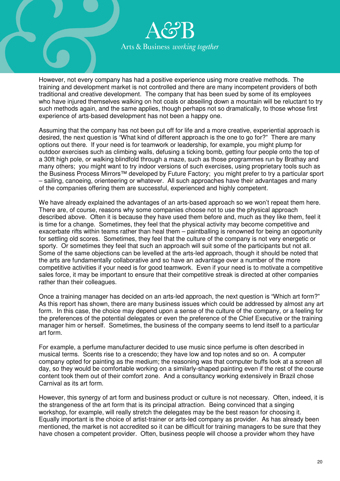

However, not every company has had a positive experience using more creative methods. The training and development market is not controlled and there are many incompetent providers of both traditional and creative development. The company that has been sued by some of its employees who have injured themselves walking on hot coals or abseiling down a mountain will be reluctant to try such methods again, and the same applies, though perhaps not so dramatically, to those whose first experience of arts-based development has not been a happy one.

Assuming that the company has not been put off for life and a more creative, experiential approach is desired, the next question is "What kind of different approach is the one to go for?" There are many options out there. If your need is for teamwork or leadership, for example, you might plump for outdoor exercises such as climbing walls, defusing a ticking bomb, getting four people onto the top of a 30ft high pole, or walking blindfold through a maze, such as those programmes run by Brathay and many others; you might want to try indoor versions of such exercises, using proprietary tools such as the Business Process Mirrors™ developed by Future Factory; you might prefer to try a particular sport – sailing, canoeing, orienteering or whatever. All such approaches have their advantages and many of the companies offering them are successful, experienced and highly competent.

We have already explained the advantages of an arts-based approach so we won't repeat them here. There are, of course, reasons why some companies choose not to use the physical approach described above. Often it is because they have used them before and, much as they like them, feel it is time for a change. Sometimes, they feel that the physical activity may become competitive and exacerbate rifts within teams rather than heal them – paintballing is renowned for being an opportunity for settling old scores. Sometimes, they feel that the culture of the company is not very energetic or sporty. Or sometimes they feel that such an approach will suit some of the participants but not all. Some of the same objections can be levelled at the arts-led approach, though it should be noted that the arts are fundamentally collaborative and so have an advantage over a number of the more competitive activities if your need is for good teamwork. Even if your need is to motivate a competitive sales force, it may be important to ensure that their competitive streak is directed at other companies rather than their colleagues.

Once a training manager has decided on an arts-led approach, the next question is "Which art form?" As this report has shown, there are many business issues which could be addressed by almost any art form. In this case, the choice may depend upon a sense of the culture of the company, or a feeling for the preferences of the potential delegates or even the preference of the Chief Executive or the training manager him or herself. Sometimes, the business of the company seems to lend itself to a particular art form.

For example, a perfume manufacturer decided to use music since perfume is often described in musical terms. Scents rise to a crescendo; they have low and top notes and so on. A computer company opted for painting as the medium; the reasoning was that computer buffs look at a screen all day, so they would be comfortable working on a similarly-shaped painting even if the rest of the course content took them out of their comfort zone. And a consultancy working extensively in Brazil chose Carnival as its art form.

However, this synergy of art form and business product or culture is not necessary. Often, indeed, it is the strangeness of the art form that is its principal attraction. Being convinced that a singing workshop, for example, will really stretch the delegates may be the best reason for choosing it. Equally important is the choice of artist-trainer or arts-led company as provider. As has already been mentioned, the market is not accredited so it can be difficult for training managers to be sure that they have chosen a competent provider. Often, business people will choose a provider whom they have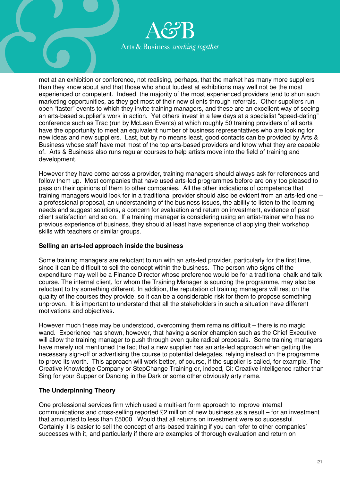

met at an exhibition or conference, not realising, perhaps, that the market has many more suppliers than they know about and that those who shout loudest at exhibitions may well not be the most experienced or competent. Indeed, the majority of the most experienced providers tend to shun such marketing opportunities, as they get most of their new clients through referrals. Other suppliers run open "taster" events to which they invite training managers, and these are an excellent way of seeing an arts-based supplier's work in action. Yet others invest in a few days at a specialist "speed-dating" conference such as Trac (run by McLean Events) at which roughly 50 training providers of all sorts have the opportunity to meet an equivalent number of business representatives who are looking for new ideas and new suppliers. Last, but by no means least, good contacts can be provided by Arts & Business whose staff have met most of the top arts-based providers and know what they are capable of. Arts & Business also runs regular courses to help artists move into the field of training and development.

However they have come across a provider, training managers should always ask for references and follow them up. Most companies that have used arts-led programmes before are only too pleased to pass on their opinions of them to other companies. All the other indications of competence that training managers would look for in a traditional provider should also be evident from an arts-led one – a professional proposal, an understanding of the business issues, the ability to listen to the learning needs and suggest solutions, a concern for evaluation and return on investment, evidence of past client satisfaction and so on. If a training manager is considering using an artist-trainer who has no previous experience of business, they should at least have experience of applying their workshop skills with teachers or similar groups.

## **Selling an arts-led approach inside the business**

Some training managers are reluctant to run with an arts-led provider, particularly for the first time, since it can be difficult to sell the concept within the business. The person who signs off the expenditure may well be a Finance Director whose preference would be for a traditional chalk and talk course. The internal client, for whom the Training Manager is sourcing the programme, may also be reluctant to try something different. In addition, the reputation of training managers will rest on the quality of the courses they provide, so it can be a considerable risk for them to propose something unproven. It is important to understand that all the stakeholders in such a situation have different motivations and objectives.

However much these may be understood, overcoming them remains difficult – there is no magic wand. Experience has shown, however, that having a senior champion such as the Chief Executive will allow the training manager to push through even quite radical proposals. Some training managers have merely not mentioned the fact that a new supplier has an arts-led approach when getting the necessary sign-off or advertising the course to potential delegates, relying instead on the programme to prove its worth. This approach will work better, of course, if the supplier is called, for example, The Creative Knowledge Company or StepChange Training or, indeed, Ci: Creative intelligence rather than Sing for your Supper or Dancing in the Dark or some other obviously arty name.

## **The Underpinning Theory**

One professional services firm which used a multi-art form approach to improve internal communications and cross-selling reported £2 million of new business as a result – for an investment that amounted to less than £5000. Would that all returns on investment were so successful. Certainly it is easier to sell the concept of arts-based training if you can refer to other companies' successes with it, and particularly if there are examples of thorough evaluation and return on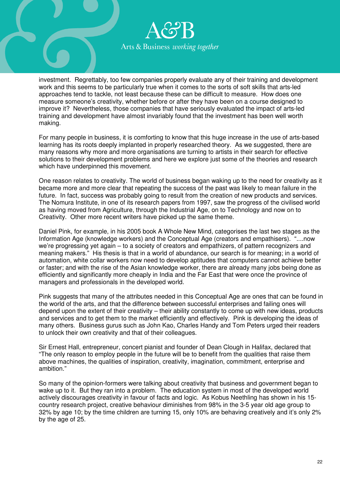

investment. Regrettably, too few companies properly evaluate any of their training and development work and this seems to be particularly true when it comes to the sorts of soft skills that arts-led approaches tend to tackle, not least because these can be difficult to measure. How does one measure someone's creativity, whether before or after they have been on a course designed to improve it? Nevertheless, those companies that have seriously evaluated the impact of arts-led training and development have almost invariably found that the investment has been well worth making.

For many people in business, it is comforting to know that this huge increase in the use of arts-based learning has its roots deeply implanted in properly researched theory. As we suggested, there are many reasons why more and more organisations are turning to artists in their search for effective solutions to their development problems and here we explore just some of the theories and research which have underpinned this movement.

One reason relates to creativity. The world of business began waking up to the need for creativity as it became more and more clear that repeating the success of the past was likely to mean failure in the future. In fact, success was probably going to result from the creation of new products and services. The Nomura Institute, in one of its research papers from 1997, saw the progress of the civilised world as having moved from Agriculture, through the Industrial Age, on to Technology and now on to Creativity. Other more recent writers have picked up the same theme.

Daniel Pink, for example, in his 2005 book A Whole New Mind, categorises the last two stages as the Information Age (knowledge workers) and the Conceptual Age (creators and empathisers). "....now we're progressing yet again – to a society of creators and empathizers, of pattern recognizers and meaning makers." His thesis is that in a world of abundance, our search is for meaning; in a world of automation, white collar workers now need to develop aptitudes that computers cannot achieve better or faster; and with the rise of the Asian knowledge worker, there are already many jobs being done as efficiently and significantly more cheaply in India and the Far East that were once the province of managers and professionals in the developed world.

Pink suggests that many of the attributes needed in this Conceptual Age are ones that can be found in the world of the arts, and that the difference between successful enterprises and failing ones will depend upon the extent of their creativity – their ability constantly to come up with new ideas, products and services and to get them to the market efficiently and effectively. Pink is developing the ideas of many others. Business gurus such as John Kao, Charles Handy and Tom Peters urged their readers to unlock their own creativity and that of their colleagues.

Sir Ernest Hall, entrepreneur, concert pianist and founder of Dean Clough in Halifax, declared that "The only reason to employ people in the future will be to benefit from the qualities that raise them above machines, the qualities of inspiration, creativity, imagination, commitment, enterprise and ambition."

So many of the opinion-formers were talking about creativity that business and government began to wake up to it. But they ran into a problem. The education system in most of the developed world actively discourages creativity in favour of facts and logic. As Kobus Neethling has shown in his 15 country research project, creative behaviour diminishes from 98% in the 3-5 year old age group to 32% by age 10; by the time children are turning 15, only 10% are behaving creatively and it's only 2% by the age of 25.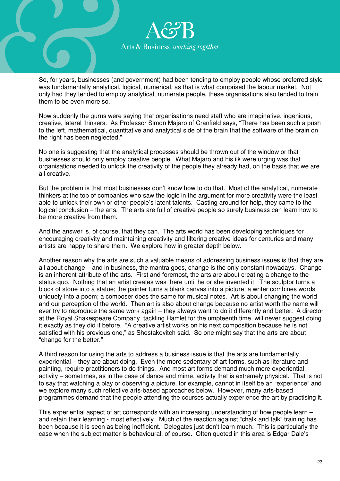

So, for years, businesses (and government) had been tending to employ people whose preferred style was fundamentally analytical, logical, numerical, as that is what comprised the labour market. Not only had they tended to employ analytical, numerate people, these organisations also tended to train them to be even more so.

Now suddenly the gurus were saying that organisations need staff who are imaginative, ingenious, creative, lateral thinkers. As Professor Simon Majaro of Cranfield says, "There has been such a push to the left, mathematical, quantitative and analytical side of the brain that the software of the brain on the right has been neglected."

No one is suggesting that the analytical processes should be thrown out of the window or that businesses should only employ creative people. What Majaro and his ilk were urging was that organisations needed to unlock the creativity of the people they already had, on the basis that we are all creative.

But the problem is that most businesses don't know how to do that. Most of the analytical, numerate thinkers at the top of companies who saw the logic in the argument for more creativity were the least able to unlock their own or other people's latent talents. Casting around for help, they came to the logical conclusion – the arts. The arts are full of creative people so surely business can learn how to be more creative from them.

And the answer is, of course, that they can. The arts world has been developing techniques for encouraging creativity and maintaining creativity and filtering creative ideas for centuries and many artists are happy to share them. We explore how in greater depth below.

Another reason why the arts are such a valuable means of addressing business issues is that they are all about change – and in business, the mantra goes, change is the only constant nowadays. Change is an inherent attribute of the arts. First and foremost, the arts are about creating a change to the status quo. Nothing that an artist creates was there until he or she invented it. The sculptor turns a block of stone into a statue; the painter turns a blank canvas into a picture; a writer combines words uniquely into a poem; a composer does the same for musical notes. Art is about changing the world and our perception of the world. Then art is also about change because no artist worth the name will ever try to reproduce the same work again – they always want to do it differently and better. A director at the Royal Shakespeare Company, tackling Hamlet for the umpteenth time, will never suggest doing it exactly as they did it before. "A creative artist works on his next composition because he is not satisfied with his previous one," as Shostakovitch said. So one might say that the arts are about "change for the better."

A third reason for using the arts to address a business issue is that the arts are fundamentally experiential – they are about doing. Even the more sedentary of art forms, such as literature and painting, require practitioners to do things. And most art forms demand much more experiential activity – sometimes, as in the case of dance and mime, activity that is extremely physical. That is not to say that watching a play or observing a picture, for example, cannot in itself be an "experience" and we explore many such reflective arts-based approaches below. However, many arts-based programmes demand that the people attending the courses actually experience the art by practising it.

This experiential aspect of art corresponds with an increasing understanding of how people learn – and retain their learning - most effectively. Much of the reaction against "chalk and talk" training has been because it is seen as being inefficient. Delegates just don't learn much. This is particularly the case when the subject matter is behavioural, of course. Often quoted in this area is Edgar Dale's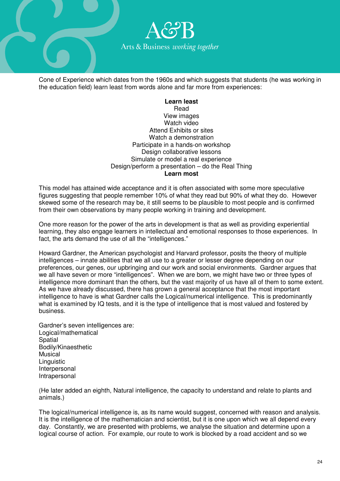

Cone of Experience which dates from the 1960s and which suggests that students (he was working in the education field) learn least from words alone and far more from experiences:

#### **Learn least**  Read View images Watch video Attend Exhibits or sites Watch a demonstration Participate in a hands-on workshop Design collaborative lessons Simulate or model a real experience Design/perform a presentation – do the Real Thing **Learn most**

This model has attained wide acceptance and it is often associated with some more speculative figures suggesting that people remember 10% of what they read but 90% of what they do. However skewed some of the research may be, it still seems to be plausible to most people and is confirmed from their own observations by many people working in training and development.

One more reason for the power of the arts in development is that as well as providing experiential learning, they also engage learners in intellectual and emotional responses to those experiences. In fact, the arts demand the use of all the "intelligences."

Howard Gardner, the American psychologist and Harvard professor, posits the theory of multiple intelligences – innate abilities that we all use to a greater or lesser degree depending on our preferences, our genes, our upbringing and our work and social environments. Gardner argues that we all have seven or more "intelligences". When we are born, we might have two or three types of intelligence more dominant than the others, but the vast majority of us have all of them to some extent. As we have already discussed, there has grown a general acceptance that the most important intelligence to have is what Gardner calls the Logical/numerical intelligence. This is predominantly what is examined by IQ tests, and it is the type of intelligence that is most valued and fostered by business.

Gardner's seven intelligences are: Logical/mathematical **Spatial** Bodily/Kinaesthetic Musical Linguistic Interpersonal Intrapersonal

(He later added an eighth, Natural intelligence, the capacity to understand and relate to plants and animals.)

The logical/numerical intelligence is, as its name would suggest, concerned with reason and analysis. It is the intelligence of the mathematician and scientist, but it is one upon which we all depend every day. Constantly, we are presented with problems, we analyse the situation and determine upon a logical course of action. For example, our route to work is blocked by a road accident and so we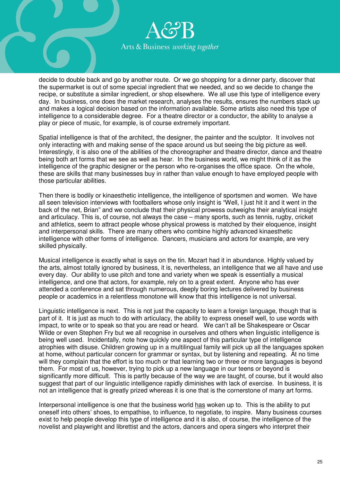

decide to double back and go by another route. Or we go shopping for a dinner party, discover that the supermarket is out of some special ingredient that we needed, and so we decide to change the recipe, or substitute a similar ingredient, or shop elsewhere. We all use this type of intelligence every day. In business, one does the market research, analyses the results, ensures the numbers stack up and makes a logical decision based on the information available. Some artists also need this type of intelligence to a considerable degree. For a theatre director or a conductor, the ability to analyse a play or piece of music, for example, is of course extremely important.

Spatial intelligence is that of the architect, the designer, the painter and the sculptor. It involves not only interacting with and making sense of the space around us but seeing the big picture as well. Interestingly, it is also one of the abilities of the choreographer and theatre director, dance and theatre being both art forms that we see as well as hear. In the business world, we might think of it as the intelligence of the graphic designer or the person who re-organises the office space. On the whole, these are skills that many businesses buy in rather than value enough to have employed people with those particular abilities.

Then there is bodily or kinaesthetic intelligence, the intelligence of sportsmen and women. We have all seen television interviews with footballers whose only insight is "Well, I just hit it and it went in the back of the net, Brian" and we conclude that their physical prowess outweighs their analytical insight and articulacy. This is, of course, not always the case – many sports, such as tennis, rugby, cricket and athletics, seem to attract people whose physical prowess is matched by their eloquence, insight and interpersonal skills. There are many others who combine highly advanced kinaesthetic intelligence with other forms of intelligence. Dancers, musicians and actors for example, are very skilled physically.

Musical intelligence is exactly what is says on the tin. Mozart had it in abundance. Highly valued by the arts, almost totally ignored by business, it is, nevertheless, an intelligence that we all have and use every day. Our ability to use pitch and tone and variety when we speak is essentially a musical intelligence, and one that actors, for example, rely on to a great extent. Anyone who has ever attended a conference and sat through numerous, deeply boring lectures delivered by business people or academics in a relentless monotone will know that this intelligence is not universal.

Linguistic intelligence is next. This is not just the capacity to learn a foreign language, though that is part of it. It is just as much to do with articulacy, the ability to express oneself well, to use words with impact, to write or to speak so that you are read or heard. We can't all be Shakespeare or Oscar Wilde or even Stephen Fry but we all recognise in ourselves and others when linguistic intelligence is being well used. Incidentally, note how quickly one aspect of this particular type of intelligence atrophies with disuse. Children growing up in a multilingual family will pick up all the languages spoken at home, without particular concern for grammar or syntax, but by listening and repeating. At no time will they complain that the effort is too much or that learning two or three or more languages is beyond them. For most of us, however, trying to pick up a new language in our teens or beyond is significantly more difficult. This is partly because of the way we are taught, of course, but it would also suggest that part of our linguistic intelligence rapidly diminishes with lack of exercise. In business, it is not an intelligence that is greatly prized whereas it is one that is the cornerstone of many art forms.

Interpersonal intelligence is one that the business world has woken up to. This is the ability to put oneself into others' shoes, to empathise, to influence, to negotiate, to inspire. Many business courses exist to help people develop this type of intelligence and it is also, of course, the intelligence of the novelist and playwright and librettist and the actors, dancers and opera singers who interpret their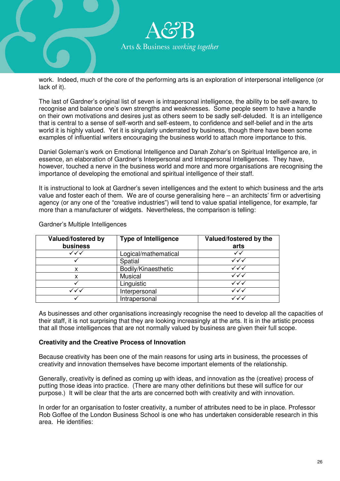

work. Indeed, much of the core of the performing arts is an exploration of interpersonal intelligence (or lack of it).

The last of Gardner's original list of seven is intrapersonal intelligence, the ability to be self-aware, to recognise and balance one's own strengths and weaknesses. Some people seem to have a handle on their own motivations and desires just as others seem to be sadly self-deluded. It is an intelligence that is central to a sense of self-worth and self-esteem, to confidence and self-belief and in the arts world it is highly valued. Yet it is singularly underrated by business, though there have been some examples of influential writers encouraging the business world to attach more importance to this.

Daniel Goleman's work on Emotional Intelligence and Danah Zohar's on Spiritual Intelligence are, in essence, an elaboration of Gardner's Interpersonal and Intrapersonal Intelligences. They have, however, touched a nerve in the business world and more and more organisations are recognising the importance of developing the emotional and spiritual intelligence of their staff.

It is instructional to look at Gardner's seven intelligences and the extent to which business and the arts value and foster each of them. We are of course generalising here – an architects' firm or advertising agency (or any one of the "creative industries") will tend to value spatial intelligence, for example, far more than a manufacturer of widgets. Nevertheless, the comparison is telling:

| Valued/fostered by<br>business | <b>Type of Intelligence</b> | Valued/fostered by the<br>arts |
|--------------------------------|-----------------------------|--------------------------------|
| ✓✓✓                            | Logical/mathematical        | ✓✓                             |
|                                | Spatial                     | $\checkmark\checkmark$         |
| х                              | Bodily/Kinaesthetic         | ✓✓✓                            |
| x                              | Musical                     | ✓✓◡                            |
|                                | Linguistic                  | ✓✓✓                            |
| $\checkmark\checkmark$         | Interpersonal               | $\checkmark\checkmark$         |
|                                | Intrapersonal               | ✓✓◡                            |

Gardner's Multiple Intelligences

As businesses and other organisations increasingly recognise the need to develop all the capacities of their staff, it is not surprising that they are looking increasingly at the arts. It is in the artistic process that all those intelligences that are not normally valued by business are given their full scope.

## **Creativity and the Creative Process of Innovation**

Because creativity has been one of the main reasons for using arts in business, the processes of creativity and innovation themselves have become important elements of the relationship.

Generally, creativity is defined as coming up with ideas, and innovation as the (creative) process of putting those ideas into practice. (There are many other definitions but these will suffice for our purpose.) It will be clear that the arts are concerned both with creativity and with innovation.

In order for an organisation to foster creativity, a number of attributes need to be in place. Professor Rob Goffee of the London Business School is one who has undertaken considerable research in this area. He identifies: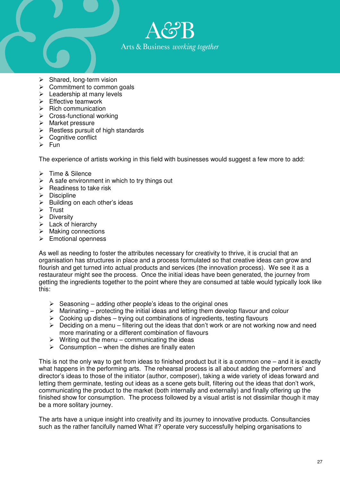

- $\triangleright$  Shared, long-term vision
- $\triangleright$  Commitment to common goals
- $\triangleright$  Leadership at many levels
- $\triangleright$  Fffective teamwork
- $\triangleright$  Rich communication
- $\triangleright$  Cross-functional working
- $\triangleright$  Market pressure
- $\triangleright$  Restless pursuit of high standards
- $\triangleright$  Cognitive conflict
- $\triangleright$  Fun

The experience of artists working in this field with businesses would suggest a few more to add:

- > Time & Silence
- $\triangleright$  A safe environment in which to try things out
- $\triangleright$  Readiness to take risk
- $\triangleright$  Discipline
- $\triangleright$  Building on each other's ideas
- $\triangleright$  Trust
- $\triangleright$  Diversity
- $\triangleright$  Lack of hierarchy
- $\triangleright$  Making connections
- $\triangleright$  Emotional openness

As well as needing to foster the attributes necessary for creativity to thrive, it is crucial that an organisation has structures in place and a process formulated so that creative ideas can grow and flourish and get turned into actual products and services (the innovation process). We see it as a restaurateur might see the process. Once the initial ideas have been generated, the journey from getting the ingredients together to the point where they are consumed at table would typically look like this:

- $\triangleright$  Seasoning adding other people's ideas to the original ones
- $\triangleright$  Marinating protecting the initial ideas and letting them develop flavour and colour
- $\triangleright$  Cooking up dishes trying out combinations of ingredients, testing flavours
- $\triangleright$  Deciding on a menu filtering out the ideas that don't work or are not working now and need more marinating or a different combination of flavours
- $\triangleright$  Writing out the menu communicating the ideas
- $\triangleright$  Consumption when the dishes are finally eaten

This is not the only way to get from ideas to finished product but it is a common one – and it is exactly what happens in the performing arts. The rehearsal process is all about adding the performers' and director's ideas to those of the initiator (author, composer), taking a wide variety of ideas forward and letting them germinate, testing out ideas as a scene gets built, filtering out the ideas that don't work, communicating the product to the market (both internally and externally) and finally offering up the finished show for consumption. The process followed by a visual artist is not dissimilar though it may be a more solitary journey.

The arts have a unique insight into creativity and its journey to innovative products. Consultancies such as the rather fancifully named What if? operate very successfully helping organisations to